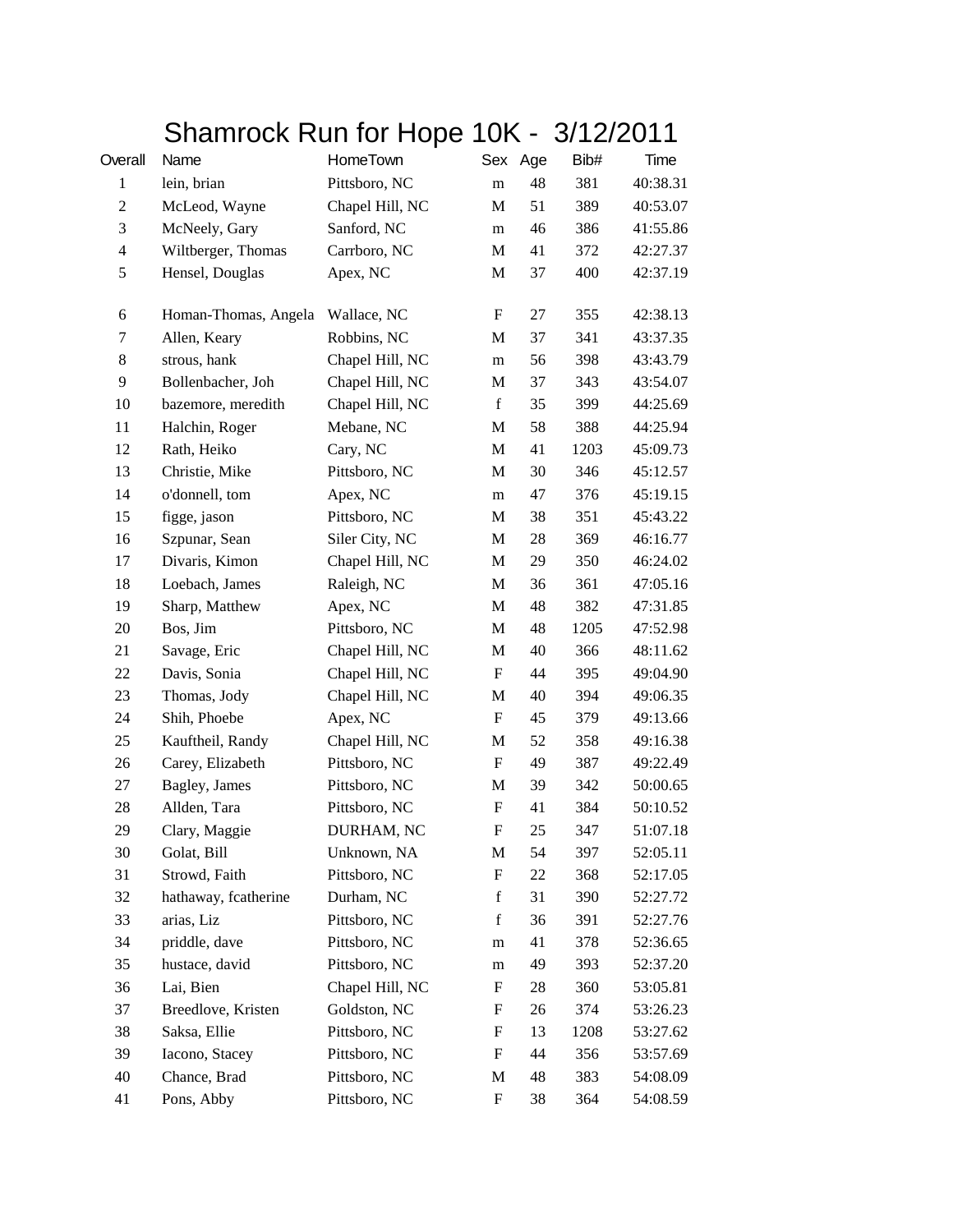## Shamrock Run for Hope 10K - 3/12/2011

| Overall          | Name                 | HomeTown        |                           | Sex Age | Bib# | Time     |
|------------------|----------------------|-----------------|---------------------------|---------|------|----------|
| $\mathbf{1}$     | lein, brian          | Pittsboro, NC   | m                         | 48      | 381  | 40:38.31 |
| 2                | McLeod, Wayne        | Chapel Hill, NC | M                         | 51      | 389  | 40:53.07 |
| 3                | McNeely, Gary        | Sanford, NC     | m                         | 46      | 386  | 41:55.86 |
| $\overline{4}$   | Wiltberger, Thomas   | Carrboro, NC    | M                         | 41      | 372  | 42:27.37 |
| $\mathfrak s$    | Hensel, Douglas      | Apex, NC        | M                         | 37      | 400  | 42:37.19 |
| $\boldsymbol{6}$ | Homan-Thomas, Angela | Wallace, NC     | F                         | 27      | 355  | 42:38.13 |
| 7                | Allen, Keary         | Robbins, NC     | M                         | 37      | 341  | 43:37.35 |
| 8                | strous, hank         | Chapel Hill, NC | m                         | 56      | 398  | 43:43.79 |
| 9                | Bollenbacher, Joh    | Chapel Hill, NC | M                         | 37      | 343  | 43:54.07 |
| 10               | bazemore, meredith   | Chapel Hill, NC | $\mathbf f$               | 35      | 399  | 44:25.69 |
| 11               | Halchin, Roger       | Mebane, NC      | M                         | 58      | 388  | 44:25.94 |
| 12               | Rath, Heiko          | Cary, NC        | M                         | 41      | 1203 | 45:09.73 |
| 13               | Christie, Mike       | Pittsboro, NC   | M                         | 30      | 346  | 45:12.57 |
| 14               | o'donnell, tom       | Apex, NC        | m                         | 47      | 376  | 45:19.15 |
| 15               | figge, jason         | Pittsboro, NC   | M                         | 38      | 351  | 45:43.22 |
| 16               | Szpunar, Sean        | Siler City, NC  | M                         | 28      | 369  | 46:16.77 |
| 17               | Divaris, Kimon       | Chapel Hill, NC | M                         | 29      | 350  | 46:24.02 |
| 18               | Loebach, James       | Raleigh, NC     | M                         | 36      | 361  | 47:05.16 |
| 19               | Sharp, Matthew       | Apex, NC        | M                         | 48      | 382  | 47:31.85 |
| 20               | Bos, Jim             | Pittsboro, NC   | M                         | 48      | 1205 | 47:52.98 |
| 21               | Savage, Eric         | Chapel Hill, NC | M                         | 40      | 366  | 48:11.62 |
| 22               | Davis, Sonia         | Chapel Hill, NC | F                         | 44      | 395  | 49:04.90 |
| 23               | Thomas, Jody         | Chapel Hill, NC | M                         | 40      | 394  | 49:06.35 |
| 24               | Shih, Phoebe         | Apex, NC        | $\boldsymbol{\mathrm{F}}$ | 45      | 379  | 49:13.66 |
| 25               | Kauftheil, Randy     | Chapel Hill, NC | M                         | 52      | 358  | 49:16.38 |
| 26               | Carey, Elizabeth     | Pittsboro, NC   | $\boldsymbol{\mathrm{F}}$ | 49      | 387  | 49:22.49 |
| 27               | Bagley, James        | Pittsboro, NC   | M                         | 39      | 342  | 50:00.65 |
| 28               | Allden, Tara         | Pittsboro, NC   | $\boldsymbol{\mathrm{F}}$ | 41      | 384  | 50:10.52 |
| 29               | Clary, Maggie        | DURHAM, NC      | $\mathbf F$               | 25      | 347  | 51:07.18 |
| 30               | Golat, Bill          | Unknown, NA     | M                         | 54      | 397  | 52:05.11 |
| 31               | Strowd, Faith        | Pittsboro, NC   | F                         | 22      | 368  | 52:17.05 |
| 32               | hathaway, fcatherine | Durham, NC      | $\mathbf f$               | 31      | 390  | 52:27.72 |
| 33               | arias, Liz           | Pittsboro, NC   | $\mathbf f$               | 36      | 391  | 52:27.76 |
| 34               | priddle, dave        | Pittsboro, NC   | m                         | 41      | 378  | 52:36.65 |
| 35               | hustace, david       | Pittsboro, NC   | m                         | 49      | 393  | 52:37.20 |
| 36               | Lai, Bien            | Chapel Hill, NC | F                         | 28      | 360  | 53:05.81 |
| 37               | Breedlove, Kristen   | Goldston, NC    | F                         | 26      | 374  | 53:26.23 |
| 38               | Saksa, Ellie         | Pittsboro, NC   | F                         | 13      | 1208 | 53:27.62 |
| 39               | Iacono, Stacey       | Pittsboro, NC   | F                         | 44      | 356  | 53:57.69 |
| 40               | Chance, Brad         | Pittsboro, NC   | M                         | 48      | 383  | 54:08.09 |
| 41               | Pons, Abby           | Pittsboro, NC   | $\boldsymbol{\mathrm{F}}$ | 38      | 364  | 54:08.59 |